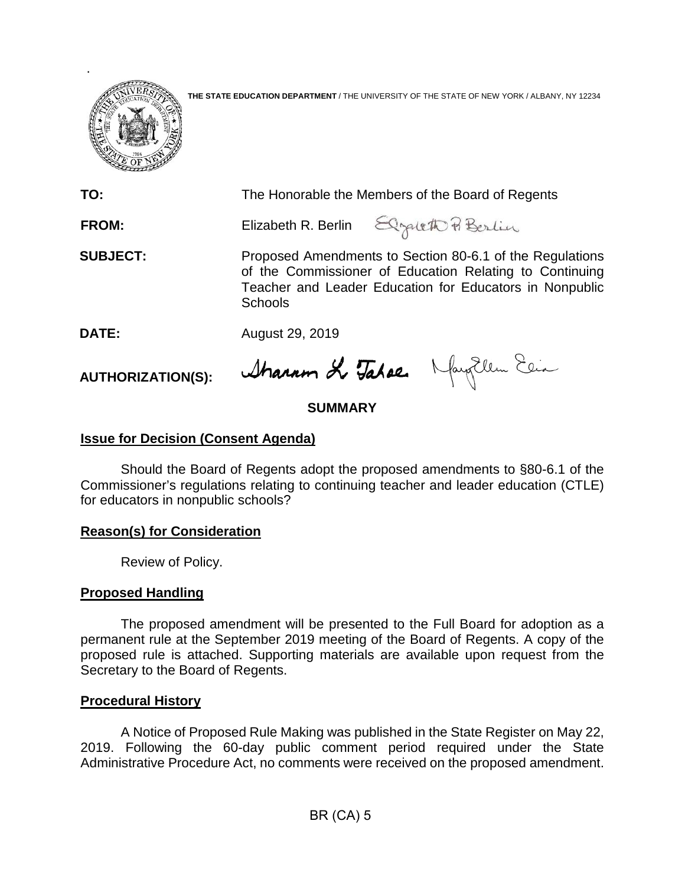

**THE STATE EDUCATION DEPARTMENT** / THE UNIVERSITY OF THE STATE OF NEW YORK / ALBANY, NY 12234

| TO:             | The Honorable the Members of the Board of Regents                                                                                                                                                |                                       |
|-----------------|--------------------------------------------------------------------------------------------------------------------------------------------------------------------------------------------------|---------------------------------------|
| <b>FROM:</b>    |                                                                                                                                                                                                  | Elizabeth R. Berlin Elgateth & Berlin |
| <b>SUBJECT:</b> | Proposed Amendments to Section 80-6.1 of the Regulations<br>of the Commissioner of Education Relating to Continuing<br>Teacher and Leader Education for Educators in Nonpublic<br><b>Schools</b> |                                       |
| DATE:           | August 29, 2019                                                                                                                                                                                  |                                       |

**AUTHORIZATION(S):**

# **SUMMARY**

Stranum Le Tabae Naughlem Elia

## **Issue for Decision (Consent Agenda)**

Should the Board of Regents adopt the proposed amendments to §80-6.1 of the Commissioner's regulations relating to continuing teacher and leader education (CTLE) for educators in nonpublic schools?

### **Reason(s) for Consideration**

Review of Policy.

### **Proposed Handling**

The proposed amendment will be presented to the Full Board for adoption as a permanent rule at the September 2019 meeting of the Board of Regents. A copy of the proposed rule is attached. Supporting materials are available upon request from the Secretary to the Board of Regents.

### **Procedural History**

A Notice of Proposed Rule Making was published in the State Register on May 22, 2019. Following the 60-day public comment period required under the State Administrative Procedure Act, no comments were received on the proposed amendment.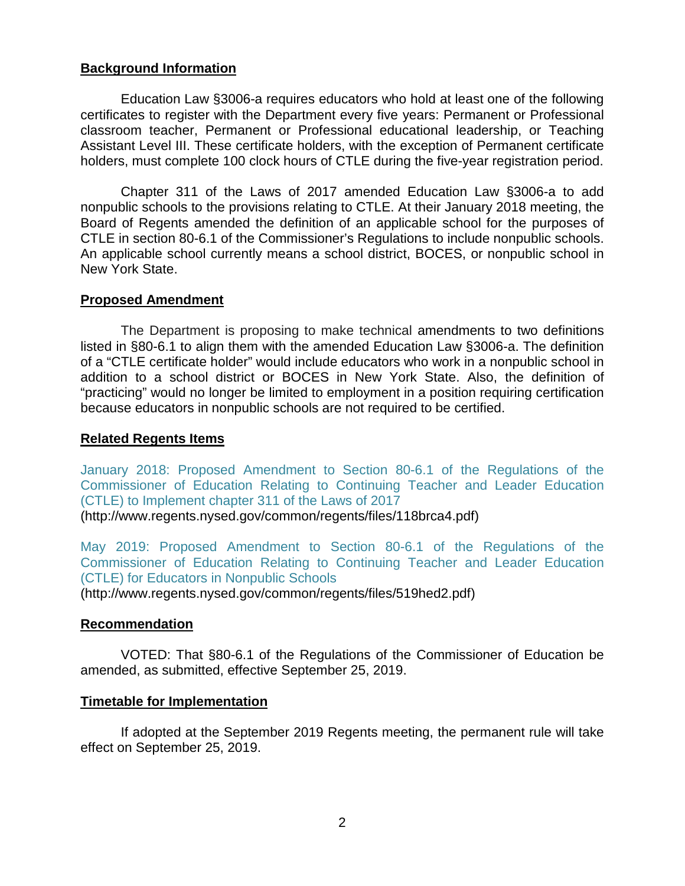### **Background Information**

Education Law §3006-a requires educators who hold at least one of the following certificates to register with the Department every five years: Permanent or Professional classroom teacher, Permanent or Professional educational leadership, or Teaching Assistant Level III. These certificate holders, with the exception of Permanent certificate holders, must complete 100 clock hours of CTLE during the five-year registration period.

Chapter 311 of the Laws of 2017 amended Education Law §3006-a to add nonpublic schools to the provisions relating to CTLE. At their January 2018 meeting, the Board of Regents amended the definition of an applicable school for the purposes of CTLE in section 80-6.1 of the Commissioner's Regulations to include nonpublic schools. An applicable school currently means a school district, BOCES, or nonpublic school in New York State.

### **Proposed Amendment**

The Department is proposing to make technical amendments to two definitions listed in §80-6.1 to align them with the amended Education Law §3006-a. The definition of a "CTLE certificate holder" would include educators who work in a nonpublic school in addition to a school district or BOCES in New York State. Also, the definition of "practicing" would no longer be limited to employment in a position requiring certification because educators in nonpublic schools are not required to be certified.

### **Related Regents Items**

[January 2018: Proposed Amendment to Section 80-6.1 of the Regulations of the](http://www.regents.nysed.gov/common/regents/files/118brca4.pdf)  [Commissioner of Education Relating to Continuing Teacher and Leader Education](http://www.regents.nysed.gov/common/regents/files/118brca4.pdf)  [\(CTLE\) to Implement chapter 311 of the Laws of 2017](http://www.regents.nysed.gov/common/regents/files/118brca4.pdf) (http://www.regents.nysed.gov/common/regents/files/118brca4.pdf)

[May 2019: Proposed Amendment to Section 80-6.1 of the Regulations of the](http://www.regents.nysed.gov/common/regents/files/519hed2.pdf)  [Commissioner of Education Relating to Continuing Teacher and Leader Education](http://www.regents.nysed.gov/common/regents/files/519hed2.pdf)  [\(CTLE\) for Educators in Nonpublic Schools](http://www.regents.nysed.gov/common/regents/files/519hed2.pdf) (http://www.regents.nysed.gov/common/regents/files/519hed2.pdf)

### **Recommendation**

VOTED: That §80-6.1 of the Regulations of the Commissioner of Education be amended, as submitted, effective September 25, 2019.

### **Timetable for Implementation**

If adopted at the September 2019 Regents meeting, the permanent rule will take effect on September 25, 2019.